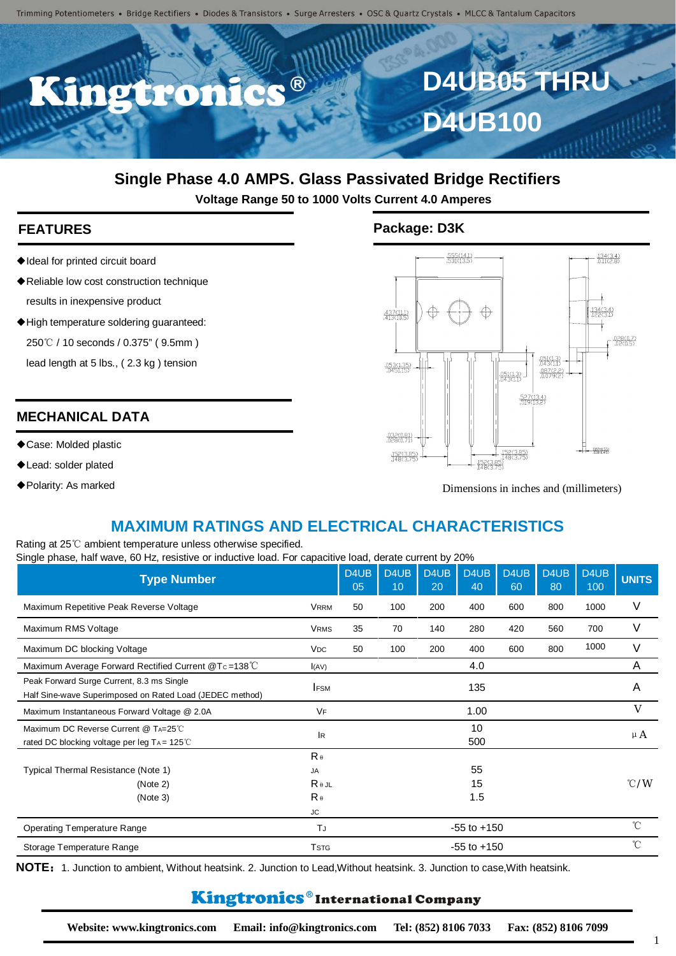Trimming Potentiometers • Bridge Rectifiers • Diodes & Transistors • Surge Arresters • OSC & Quartz Crystals • MLCC & Tantalum Capacitors



# **Single Phase 4.0 AMPS. Glass Passivated Bridge Rectifiers**

**Voltage Range 50 to 1000 Volts Current 4.0 Amperes**

- ◆Ideal for printed circuit board
- ◆Reliable low cost construction technique results in inexpensive product
- ◆High temperature soldering guaranteed:

250 ℃ / 10 seconds / 0.375" (9.5mm)

lead length at 5 lbs., ( 2.3 kg ) tension

## **MECHANICAL DATA**

- ◆Case: Molded plastic
- ◆Lead: solder plated
- ◆Polarity: As marked

### **FEATURES Package: D3K**



Dimensions in inches and (millimeters)

# **MAXIMUM RATINGS AND ELECTRICAL CHARACTERISTICS**

Rating at 25℃ ambient temperature unless otherwise specified. Single phase, half wave, 60 Hz, resistive or inductive load. For capacitive load, derate current by 20%

| $\frac{1}{2}$ phase, nair wave, or i.e., residuo or inductive load. For eapablise load, ablaise early it by EU /0<br><b>Type Number</b> |                                                                    | D4UB<br>05 | D4UB<br>10 | D <sub>4</sub> U <sub>B</sub><br>20 | D4UB<br>40      | D4UB<br>60 | D4UB<br>80 | D4UB<br>100 | <b>UNITS</b>   |
|-----------------------------------------------------------------------------------------------------------------------------------------|--------------------------------------------------------------------|------------|------------|-------------------------------------|-----------------|------------|------------|-------------|----------------|
| Maximum Repetitive Peak Reverse Voltage                                                                                                 | <b>VRRM</b>                                                        | 50         | 100        | 200                                 | 400             | 600        | 800        | 1000        | ٧              |
| Maximum RMS Voltage                                                                                                                     | <b>VRMS</b>                                                        | 35         | 70         | 140                                 | 280             | 420        | 560        | 700         | ٧              |
| Maximum DC blocking Voltage                                                                                                             | <b>V<sub>DC</sub></b>                                              | 50         | 100        | 200                                 | 400             | 600        | 800        | 1000        | V              |
| Maximum Average Forward Rectified Current @Tc=138°C                                                                                     | I(AV)                                                              |            |            |                                     | 4.0             |            |            |             | A              |
| Peak Forward Surge Current, 8.3 ms Single<br>Half Sine-wave Superimposed on Rated Load (JEDEC method)                                   | <b>IFSM</b>                                                        |            |            |                                     | 135             |            |            |             | A              |
| Maximum Instantaneous Forward Voltage @ 2.0A                                                                                            | VF                                                                 |            |            |                                     | 1.00            |            |            |             | V              |
| Maximum DC Reverse Current @ TA=25°C<br>rated DC blocking voltage per leg TA = 125°C                                                    | <b>IR</b>                                                          |            |            |                                     | 10<br>500       |            |            |             | μA             |
| Typical Thermal Resistance (Note 1)<br>(Note 2)<br>(Note 3)                                                                             | $R_{\theta}$<br>JA<br>$R_{\theta}$ JL<br>$R_{\theta}$<br><b>JC</b> |            |            |                                     | 55<br>15<br>1.5 |            |            |             | $^{\circ}$ C/W |
| <b>Operating Temperature Range</b>                                                                                                      | TJ                                                                 |            |            |                                     | $-55$ to $+150$ |            |            |             | $^{\circ}$ C   |
| Storage Temperature Range                                                                                                               | <b>TSTG</b>                                                        |            |            |                                     | $-55$ to $+150$ |            |            |             | $^{\circ}$ C   |

**NOTE**:1. Junction to ambient, Without heatsink. 2. Junction to Lead,Without heatsink. 3. Junction to case,With heatsink.

# Kingtronics®International Company

**Website: www.kingtronics.com Email: info@kingtronics.com Tel: (852) 8106 7033 Fax: (852) 8106 7099**

1